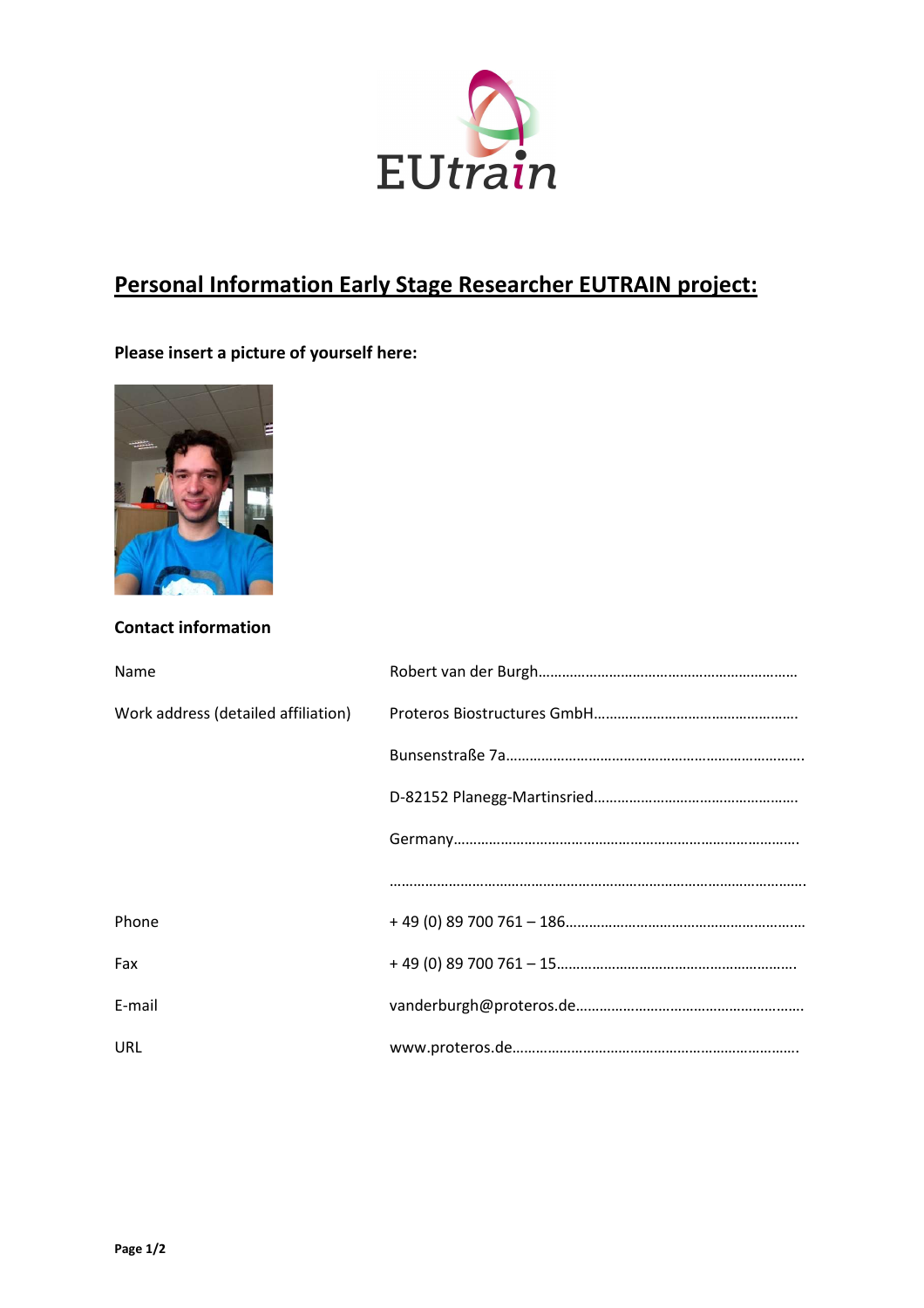

## Personal Information Early Stage Researcher EUTRAIN project:

## Please insert a picture of yourself here:



## Contact information

| Name                                |  |
|-------------------------------------|--|
| Work address (detailed affiliation) |  |
|                                     |  |
|                                     |  |
|                                     |  |
|                                     |  |
| Phone                               |  |
| Fax                                 |  |
| E-mail                              |  |
| URL                                 |  |